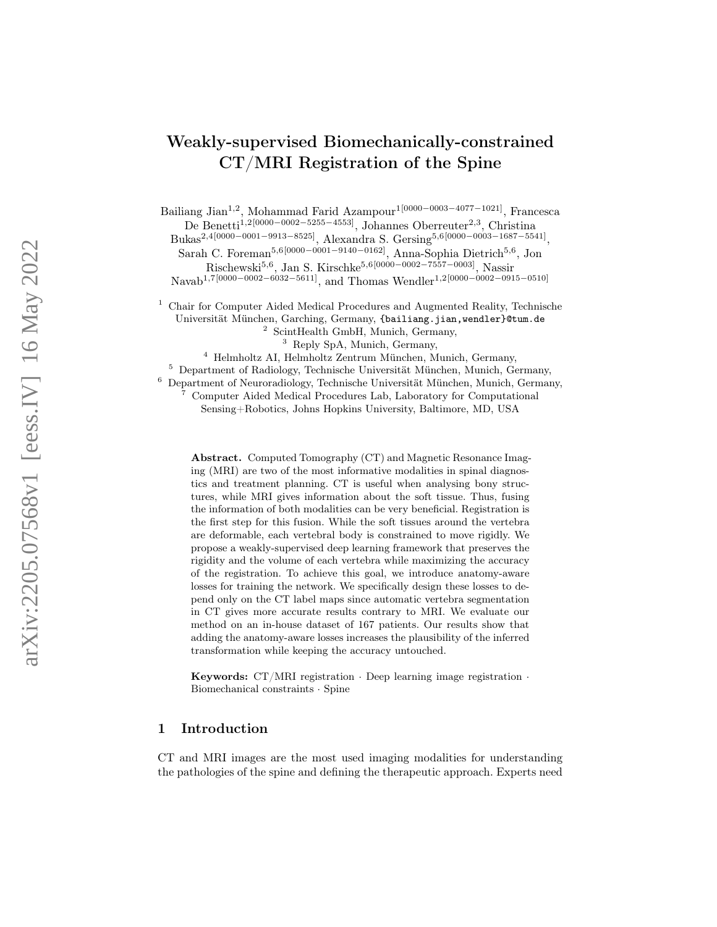# Weakly-supervised Biomechanically-constrained CT/MRI Registration of the Spine

Bailiang Jian<sup>1,2</sup>, Mohammad Farid Azampour<sup>1[0000–0003–4077–1021]</sup>, Francesca De Benetti<sup>1,2</sup><sup>[0000–0002–5255–4553]</sup>, Johannes Oberreuter<sup>2,3</sup>, Christina

Bukas<sup>2,4</sup>[0000−0001−9913−8525], Alexandra S. Gersing<sup>5,6</sup>[0000−0003−1687−5541],

Sarah C. Foreman<sup>5,6[0000–0001–9140–0162]</sup>, Anna-Sophia Dietrich<sup>5,6</sup>, Jon  $\text{Rischewski}^{5,6}$ , Jan S. Kirschke<sup>5,6[0000–0002–7557–0003]</sup>, Nassir

Navab<sup>1,7</sup>[0000–0002–6032–5611]<sub>,</sub> and Thomas Wendler<sup>1,2</sup>[0000–0002–0915–0510]

<sup>1</sup> Chair for Computer Aided Medical Procedures and Augmented Reality, Technische Universität München, Garching, Germany, {bailiang.jian,wendler}@tum.de

<sup>2</sup> ScintHealth GmbH, Munich, Germany,

<sup>3</sup> Reply SpA, Munich, Germany,

<sup>4</sup> Helmholtz AI, Helmholtz Zentrum München, Munich, Germany,

<sup>5</sup> Department of Radiology, Technische Universität München, Munich, Germany,

<sup>6</sup> Department of Neuroradiology, Technische Universität München, Munich, Germany,

<sup>7</sup> Computer Aided Medical Procedures Lab, Laboratory for Computational Sensing+Robotics, Johns Hopkins University, Baltimore, MD, USA

Abstract. Computed Tomography (CT) and Magnetic Resonance Imaging (MRI) are two of the most informative modalities in spinal diagnostics and treatment planning. CT is useful when analysing bony structures, while MRI gives information about the soft tissue. Thus, fusing the information of both modalities can be very beneficial. Registration is the first step for this fusion. While the soft tissues around the vertebra are deformable, each vertebral body is constrained to move rigidly. We propose a weakly-supervised deep learning framework that preserves the rigidity and the volume of each vertebra while maximizing the accuracy of the registration. To achieve this goal, we introduce anatomy-aware losses for training the network. We specifically design these losses to depend only on the CT label maps since automatic vertebra segmentation in CT gives more accurate results contrary to MRI. We evaluate our method on an in-house dataset of 167 patients. Our results show that adding the anatomy-aware losses increases the plausibility of the inferred transformation while keeping the accuracy untouched.

**Keywords:**  $CT/MRI$  registration  $\cdot$  Deep learning image registration  $\cdot$ Biomechanical constraints · Spine

### 1 Introduction

CT and MRI images are the most used imaging modalities for understanding the pathologies of the spine and defining the therapeutic approach. Experts need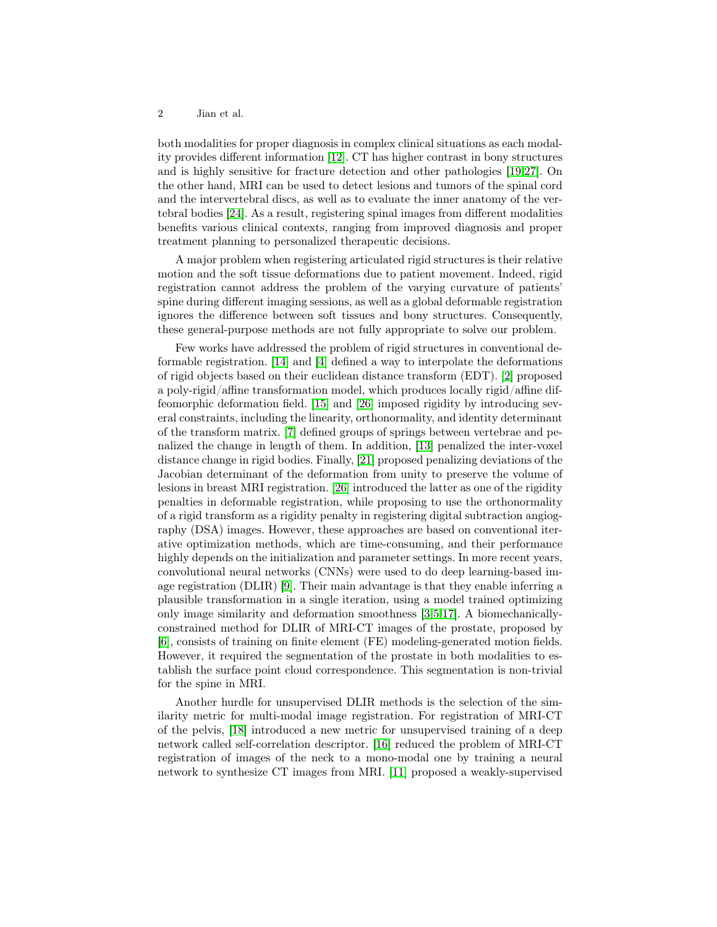#### 2 Jian et al.

both modalities for proper diagnosis in complex clinical situations as each modality provides different information [\[12\]](#page-9-0). CT has higher contrast in bony structures and is highly sensitive for fracture detection and other pathologies [\[19,](#page-9-1)[27\]](#page-9-2). On the other hand, MRI can be used to detect lesions and tumors of the spinal cord and the intervertebral discs, as well as to evaluate the inner anatomy of the vertebral bodies [\[24\]](#page-9-3). As a result, registering spinal images from different modalities benefits various clinical contexts, ranging from improved diagnosis and proper treatment planning to personalized therapeutic decisions.

A major problem when registering articulated rigid structures is their relative motion and the soft tissue deformations due to patient movement. Indeed, rigid registration cannot address the problem of the varying curvature of patients' spine during different imaging sessions, as well as a global deformable registration ignores the difference between soft tissues and bony structures. Consequently, these general-purpose methods are not fully appropriate to solve our problem.

Few works have addressed the problem of rigid structures in conventional deformable registration. [\[14\]](#page-9-4) and [\[4\]](#page-8-0) defined a way to interpolate the deformations of rigid objects based on their euclidean distance transform (EDT). [\[2\]](#page-8-1) proposed a poly-rigid/affine transformation model, which produces locally rigid/affine diffeomorphic deformation field. [\[15\]](#page-9-5) and [\[26\]](#page-9-6) imposed rigidity by introducing several constraints, including the linearity, orthonormality, and identity determinant of the transform matrix. [\[7\]](#page-8-2) defined groups of springs between vertebrae and penalized the change in length of them. In addition, [\[13\]](#page-9-7) penalized the inter-voxel distance change in rigid bodies. Finally, [\[21\]](#page-9-8) proposed penalizing deviations of the Jacobian determinant of the deformation from unity to preserve the volume of lesions in breast MRI registration. [\[26\]](#page-9-6) introduced the latter as one of the rigidity penalties in deformable registration, while proposing to use the orthonormality of a rigid transform as a rigidity penalty in registering digital subtraction angiography (DSA) images. However, these approaches are based on conventional iterative optimization methods, which are time-consuming, and their performance highly depends on the initialization and parameter settings. In more recent years, convolutional neural networks (CNNs) were used to do deep learning-based image registration (DLIR) [\[9\]](#page-8-3). Their main advantage is that they enable inferring a plausible transformation in a single iteration, using a model trained optimizing only image similarity and deformation smoothness [\[3,](#page-8-4)[5,](#page-8-5)[17\]](#page-9-9). A biomechanicallyconstrained method for DLIR of MRI-CT images of the prostate, proposed by [\[6\]](#page-8-6), consists of training on finite element (FE) modeling-generated motion fields. However, it required the segmentation of the prostate in both modalities to establish the surface point cloud correspondence. This segmentation is non-trivial for the spine in MRI.

Another hurdle for unsupervised DLIR methods is the selection of the similarity metric for multi-modal image registration. For registration of MRI-CT of the pelvis, [\[18\]](#page-9-10) introduced a new metric for unsupervised training of a deep network called self-correlation descriptor. [\[16\]](#page-9-11) reduced the problem of MRI-CT registration of images of the neck to a mono-modal one by training a neural network to synthesize CT images from MRI. [\[11\]](#page-8-7) proposed a weakly-supervised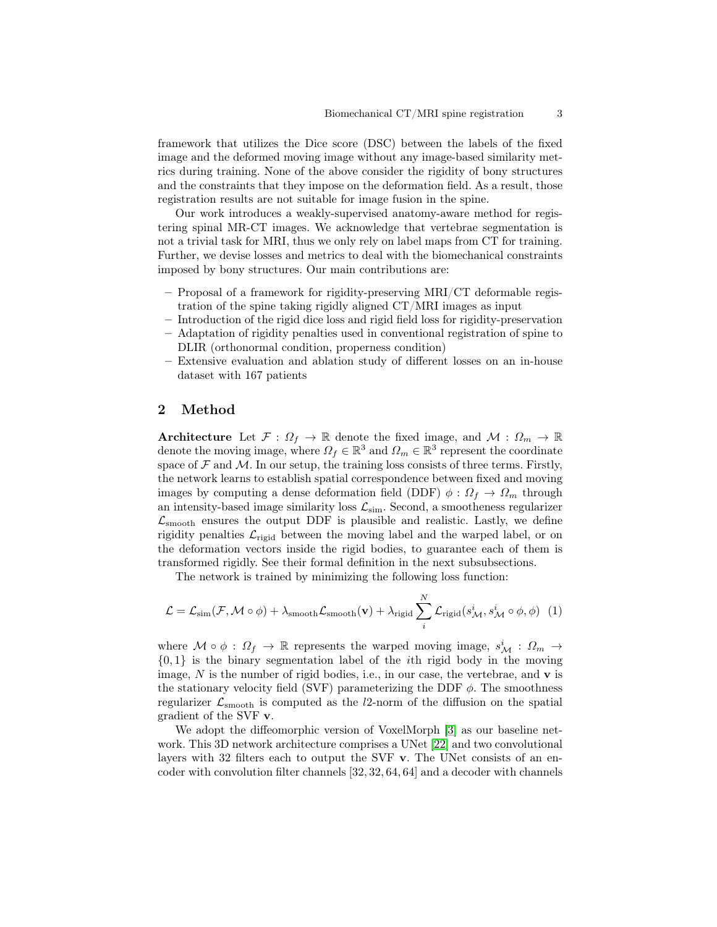framework that utilizes the Dice score (DSC) between the labels of the fixed image and the deformed moving image without any image-based similarity metrics during training. None of the above consider the rigidity of bony structures and the constraints that they impose on the deformation field. As a result, those registration results are not suitable for image fusion in the spine.

Our work introduces a weakly-supervised anatomy-aware method for registering spinal MR-CT images. We acknowledge that vertebrae segmentation is not a trivial task for MRI, thus we only rely on label maps from CT for training. Further, we devise losses and metrics to deal with the biomechanical constraints imposed by bony structures. Our main contributions are:

- Proposal of a framework for rigidity-preserving MRI/CT deformable registration of the spine taking rigidly aligned CT/MRI images as input
- Introduction of the rigid dice loss and rigid field loss for rigidity-preservation
- Adaptation of rigidity penalties used in conventional registration of spine to DLIR (orthonormal condition, properness condition)
- Extensive evaluation and ablation study of different losses on an in-house dataset with 167 patients

#### 2 Method

Architecture Let  $\mathcal{F}: \Omega_f \to \mathbb{R}$  denote the fixed image, and  $\mathcal{M}: \Omega_m \to \mathbb{R}$ denote the moving image, where  $\Omega_f \in \mathbb{R}^3$  and  $\Omega_m \in \mathbb{R}^3$  represent the coordinate space of  $\mathcal F$  and  $\mathcal M$ . In our setup, the training loss consists of three terms. Firstly, the network learns to establish spatial correspondence between fixed and moving images by computing a dense deformation field (DDF)  $\phi$  :  $\Omega_f \to \Omega_m$  through an intensity-based image similarity loss  $\mathcal{L}_{\mathrm{sim}}.$  Second, a smootheness regularizer  $\mathcal{L}_{\text{smooth}}$  ensures the output DDF is plausible and realistic. Lastly, we define rigidity penalties  $\mathcal{L}_{\text{rigid}}$  between the moving label and the warped label, or on the deformation vectors inside the rigid bodies, to guarantee each of them is transformed rigidly. See their formal definition in the next subsubsections.

The network is trained by minimizing the following loss function:

$$
\mathcal{L} = \mathcal{L}_{sim}(\mathcal{F}, \mathcal{M} \circ \phi) + \lambda_{smooth}\mathcal{L}_{smooth}(\mathbf{v}) + \lambda_{rigid}\sum_{i}^{N} \mathcal{L}_{rigid}(s_{\mathcal{M}}^{i}, s_{\mathcal{M}}^{i} \circ \phi, \phi)
$$
(1)

where  $\mathcal{M} \circ \phi : \Omega_f \to \mathbb{R}$  represents the warped moving image,  $s^i_{\mathcal{M}} : \Omega_m \to$  $\{0, 1\}$  is the binary segmentation label of the *i*th rigid body in the moving image,  $N$  is the number of rigid bodies, i.e., in our case, the vertebrae, and  $\bf{v}$  is the stationary velocity field (SVF) parameterizing the DDF  $\phi$ . The smoothness regularizer  $\mathcal{L}_{\text{smooth}}$  is computed as the *l*2-norm of the diffusion on the spatial gradient of the SVF v.

We adopt the diffeomorphic version of VoxelMorph [\[3\]](#page-8-4) as our baseline network. This 3D network architecture comprises a UNet [\[22\]](#page-9-12) and two convolutional layers with 32 filters each to output the SVF v. The UNet consists of an encoder with convolution filter channels [32, 32, 64, 64] and a decoder with channels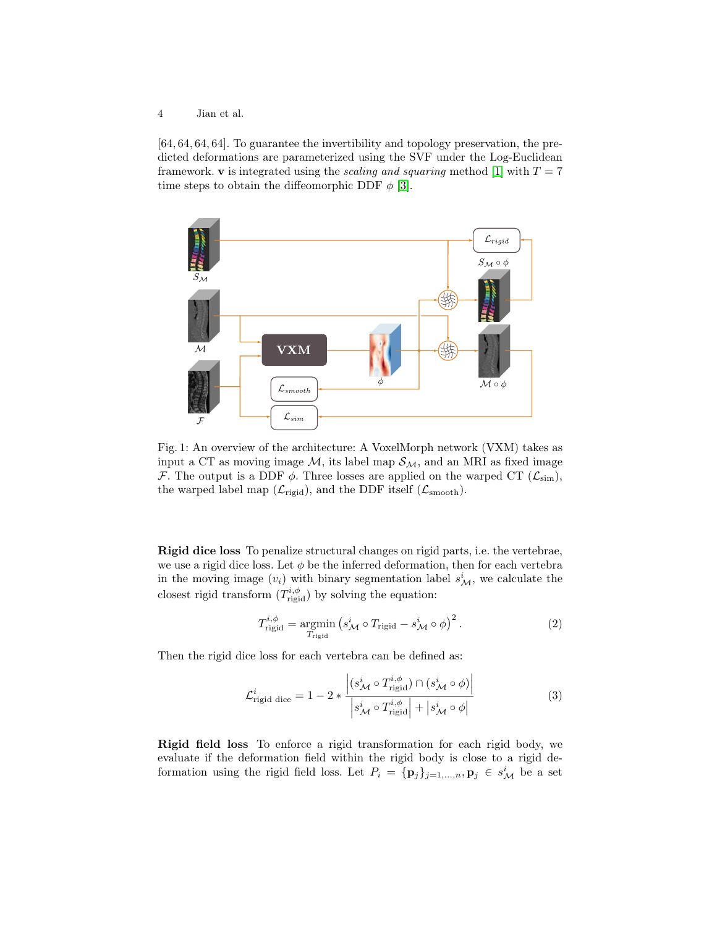4 Jian et al.

[64, 64, 64, 64]. To guarantee the invertibility and topology preservation, the predicted deformations are parameterized using the SVF under the Log-Euclidean framework. v is integrated using the *scaling and squaring* method [\[1\]](#page-8-8) with  $T = 7$ time steps to obtain the diffeomorphic DDF  $\phi$  [\[3\]](#page-8-4).



Fig. 1: An overview of the architecture: A VoxelMorph network (VXM) takes as input a CT as moving image  $M$ , its label map  $S_M$ , and an MRI as fixed image F. The output is a DDF  $\phi$ . Three losses are applied on the warped CT ( $\mathcal{L}_{sim}$ ), the warped label map  $(\mathcal{L}_{\text{rigid}})$ , and the DDF itself  $(\mathcal{L}_{\text{smooth}})$ .

<span id="page-3-0"></span>Rigid dice loss To penalize structural changes on rigid parts, i.e. the vertebrae, we use a rigid dice loss. Let  $\phi$  be the inferred deformation, then for each vertebra in the moving image  $(v_i)$  with binary segmentation label  $s^i_{\mathcal{M}}$ , we calculate the closest rigid transform  $(T^{i,\phi}_{\text{rigid}})$  by solving the equation:

$$
T_{\text{rigid}}^{i,\phi} = \underset{T_{\text{rigid}}}{\text{argmin}} \left( s_{\mathcal{M}}^{i} \circ T_{\text{rigid}} - s_{\mathcal{M}}^{i} \circ \phi \right)^{2}.
$$
 (2)

Then the rigid dice loss for each vertebra can be defined as:

$$
\mathcal{L}_{\text{rigid dice}}^{i} = 1 - 2 * \frac{\left| (s_{\mathcal{M}}^{i} \circ T_{\text{rigid}}^{i, \phi}) \cap (s_{\mathcal{M}}^{i} \circ \phi) \right|}{\left| s_{\mathcal{M}}^{i} \circ T_{\text{rigid}}^{i, \phi} \right| + \left| s_{\mathcal{M}}^{i} \circ \phi \right|}
$$
\n(3)

Rigid field loss To enforce a rigid transformation for each rigid body, we evaluate if the deformation field within the rigid body is close to a rigid deformation using the rigid field loss. Let  $P_i = {\{p_j\}}_{j=1,...,n}, p_j \in s^i_{\mathcal{M}}$  be a set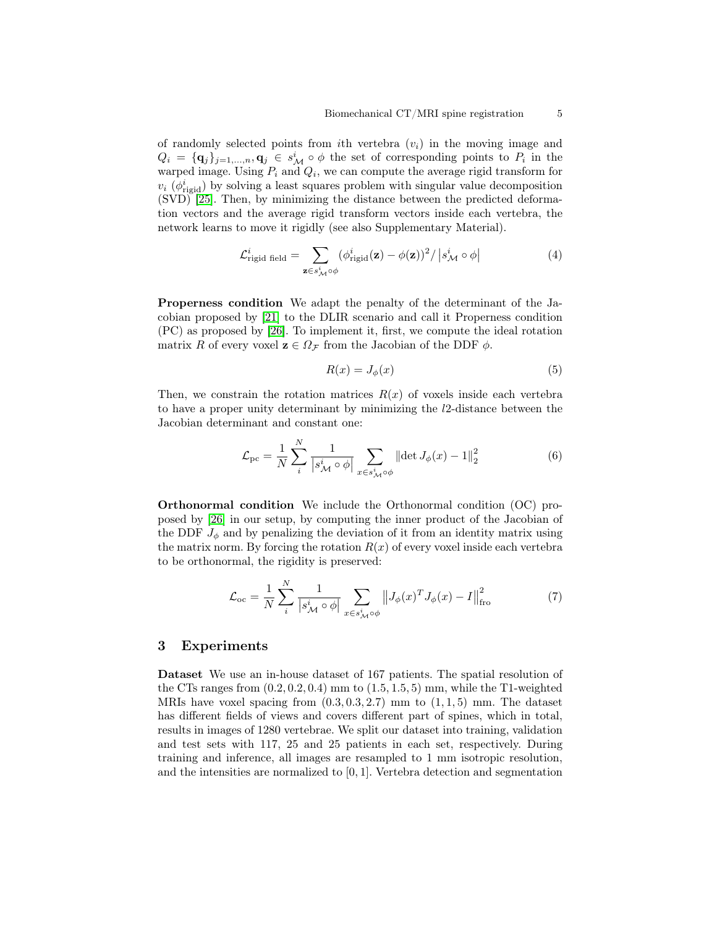of randomly selected points from *i*th vertebra  $(v_i)$  in the moving image and  $Q_i = {\{\mathbf{q}_j\}_{j=1,...,n}, \mathbf{q}_j \in s^i_{\mathcal{M}} \circ \phi \text{ the set of corresponding points to } P_i \text{ in the }i$ warped image. Using  $P_i$  and  $Q_i$ , we can compute the average rigid transform for  $v_i$  ( $\phi_{\text{rigid}}^i$ ) by solving a least squares problem with singular value decomposition (SVD) [\[25\]](#page-9-13). Then, by minimizing the distance between the predicted deformation vectors and the average rigid transform vectors inside each vertebra, the network learns to move it rigidly (see also Supplementary Material).

$$
\mathcal{L}_{\text{rigid field}}^{i} = \sum_{\mathbf{z} \in s_{\mathcal{M}}^{i} \circ \phi} (\phi_{\text{rigid}}^{i}(\mathbf{z}) - \phi(\mathbf{z}))^{2} / |s_{\mathcal{M}}^{i} \circ \phi|
$$
(4)

Properness condition We adapt the penalty of the determinant of the Jacobian proposed by [\[21\]](#page-9-8) to the DLIR scenario and call it Properness condition (PC) as proposed by [\[26\]](#page-9-6). To implement it, first, we compute the ideal rotation matrix R of every voxel  $\mathbf{z} \in \Omega_{\mathcal{F}}$  from the Jacobian of the DDF  $\phi$ .

$$
R(x) = J_{\phi}(x) \tag{5}
$$

Then, we constrain the rotation matrices  $R(x)$  of voxels inside each vertebra to have a proper unity determinant by minimizing the l2-distance between the Jacobian determinant and constant one:

$$
\mathcal{L}_{\rm pc} = \frac{1}{N} \sum_{i}^{N} \frac{1}{\left| s_{\mathcal{M}}^{i} \circ \phi \right|} \sum_{x \in s_{\mathcal{M}}^{i} \circ \phi} \left\| \det J_{\phi}(x) - 1 \right\|_{2}^{2} \tag{6}
$$

Orthonormal condition We include the Orthonormal condition (OC) proposed by [\[26\]](#page-9-6) in our setup, by computing the inner product of the Jacobian of the DDF  $J_{\phi}$  and by penalizing the deviation of it from an identity matrix using the matrix norm. By forcing the rotation  $R(x)$  of every voxel inside each vertebra to be orthonormal, the rigidity is preserved:

$$
\mathcal{L}_{\text{oc}} = \frac{1}{N} \sum_{i}^{N} \frac{1}{|s_{\mathcal{M}}^i \circ \phi|} \sum_{x \in s_{\mathcal{M}}^i \circ \phi} \left\| J_{\phi}(x)^T J_{\phi}(x) - I \right\|_{\text{fro}}^2 \tag{7}
$$

#### 3 Experiments

Dataset We use an in-house dataset of 167 patients. The spatial resolution of the CTs ranges from  $(0.2, 0.2, 0.4)$  mm to  $(1.5, 1.5, 5)$  mm, while the T1-weighted MRIs have voxel spacing from  $(0.3, 0.3, 2.7)$  mm to  $(1, 1, 5)$  mm. The dataset has different fields of views and covers different part of spines, which in total, results in images of 1280 vertebrae. We split our dataset into training, validation and test sets with 117, 25 and 25 patients in each set, respectively. During training and inference, all images are resampled to 1 mm isotropic resolution, and the intensities are normalized to [0, 1]. Vertebra detection and segmentation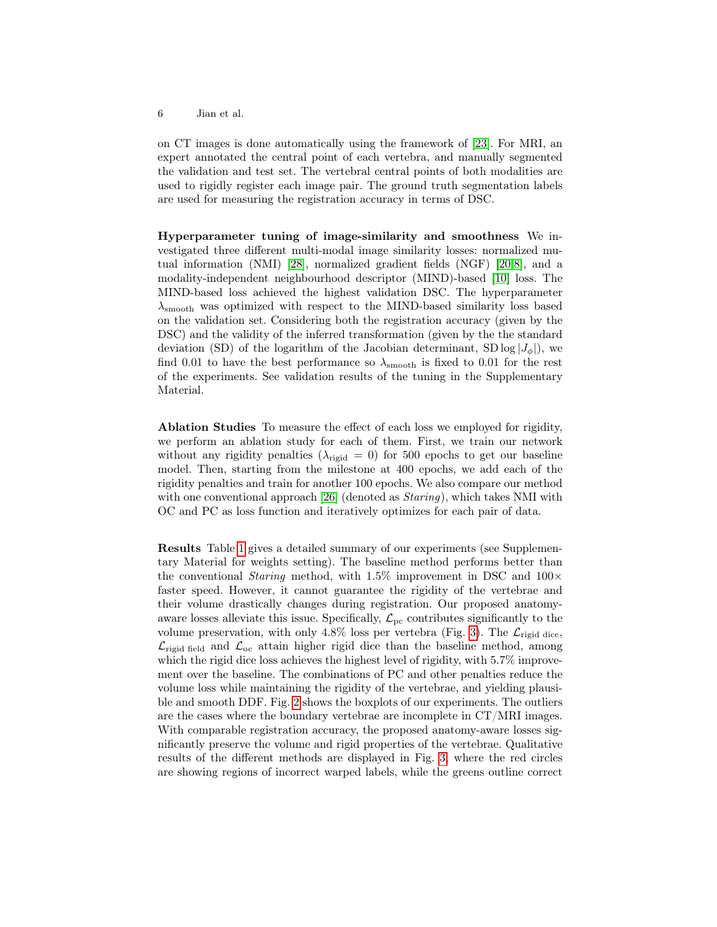on CT images is done automatically using the framework of [\[23\]](#page-9-14). For MRI, an expert annotated the central point of each vertebra, and manually segmented the validation and test set. The vertebral central points of both modalities are used to rigidly register each image pair. The ground truth segmentation labels are used for measuring the registration accuracy in terms of DSC.

Hyperparameter tuning of image-similarity and smoothness We investigated three different multi-modal image similarity losses: normalized mutual information (NMI) [\[28\]](#page-9-15), normalized gradient fields (NGF) [\[20,](#page-9-16)[8\]](#page-8-9), and a modality-independent neighbourhood descriptor (MIND)-based [\[10\]](#page-8-10) loss. The MIND-based loss achieved the highest validation DSC. The hyperparameter  $\lambda_{\rm smooth}$  was optimized with respect to the MIND-based similarity loss based on the validation set. Considering both the registration accuracy (given by the DSC) and the validity of the inferred transformation (given by the the standard deviation (SD) of the logarithm of the Jacobian determinant, SD log  $|J_{\phi}|$ , we find 0.01 to have the best performance so  $\lambda_{\rm smooth}$  is fixed to 0.01 for the rest of the experiments. See validation results of the tuning in the Supplementary Material.

Ablation Studies To measure the effect of each loss we employed for rigidity, we perform an ablation study for each of them. First, we train our network without any rigidity penalties ( $\lambda_{\text{rigid}} = 0$ ) for 500 epochs to get our baseline model. Then, starting from the milestone at 400 epochs, we add each of the rigidity penalties and train for another 100 epochs. We also compare our method with one conventional approach [\[26\]](#page-9-6) (denoted as *Staring*), which takes NMI with OC and PC as loss function and iteratively optimizes for each pair of data.

Results Table [1](#page-7-0) gives a detailed summary of our experiments (see Supplementary Material for weights setting). The baseline method performs better than the conventional *Staring* method, with 1.5% improvement in DSC and  $100 \times$ faster speed. However, it cannot guarantee the rigidity of the vertebrae and their volume drastically changes during registration. Our proposed anatomyaware losses alleviate this issue. Specifically,  $\mathcal{L}_{\text{pc}}$  contributes significantly to the volume preservation, with only 4.8% loss per vertebra (Fig. [3\)](#page-6-0). The  $\mathcal{L}_{\text{rigid dice}}$ ,  $\mathcal{L}_{\text{rigid field}}$  and  $\mathcal{L}_{\text{oc}}$  attain higher rigid dice than the baseline method, among which the rigid dice loss achieves the highest level of rigidity, with  $5.7\%$  improvement over the baseline. The combinations of PC and other penalties reduce the volume loss while maintaining the rigidity of the vertebrae, and yielding plausible and smooth DDF. Fig. [2](#page-6-1) shows the boxplots of our experiments. The outliers are the cases where the boundary vertebrae are incomplete in CT/MRI images. With comparable registration accuracy, the proposed anatomy-aware losses significantly preserve the volume and rigid properties of the vertebrae. Qualitative results of the different methods are displayed in Fig. [3,](#page-6-0) where the red circles are showing regions of incorrect warped labels, while the greens outline correct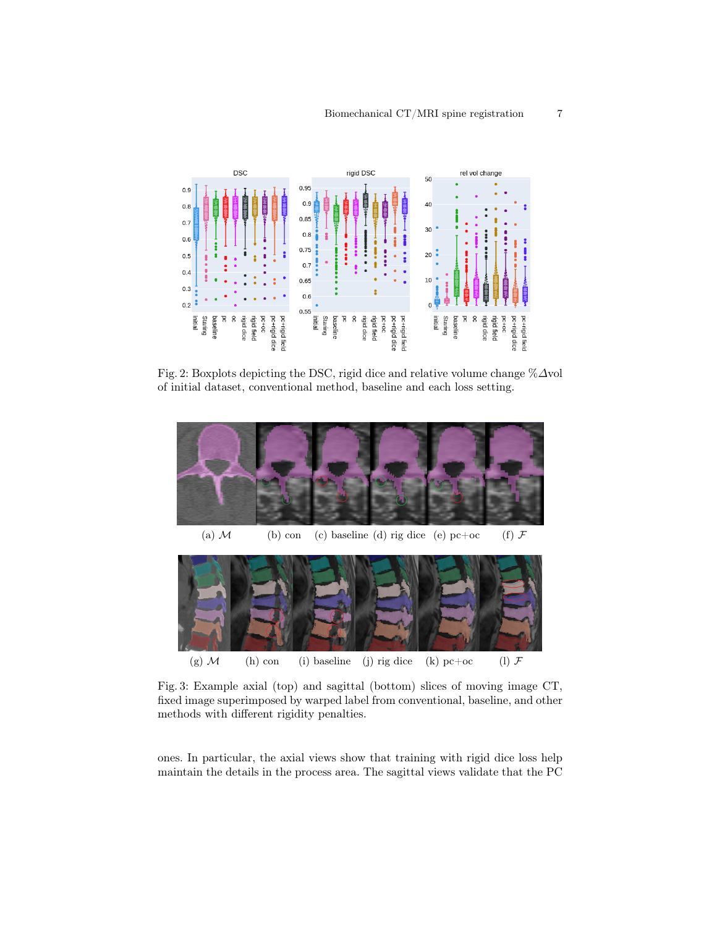<span id="page-6-1"></span>

Fig. 2: Boxplots depicting the DSC, rigid dice and relative volume change %∆vol of initial dataset, conventional method, baseline and each loss setting.

<span id="page-6-0"></span>

(g)  $M$  (h) con (i) baseline (j) rig dice (k) pc+oc (l)  $\mathcal F$ 

Fig. 3: Example axial (top) and sagittal (bottom) slices of moving image CT, fixed image superimposed by warped label from conventional, baseline, and other methods with different rigidity penalties.

ones. In particular, the axial views show that training with rigid dice loss help maintain the details in the process area. The sagittal views validate that the PC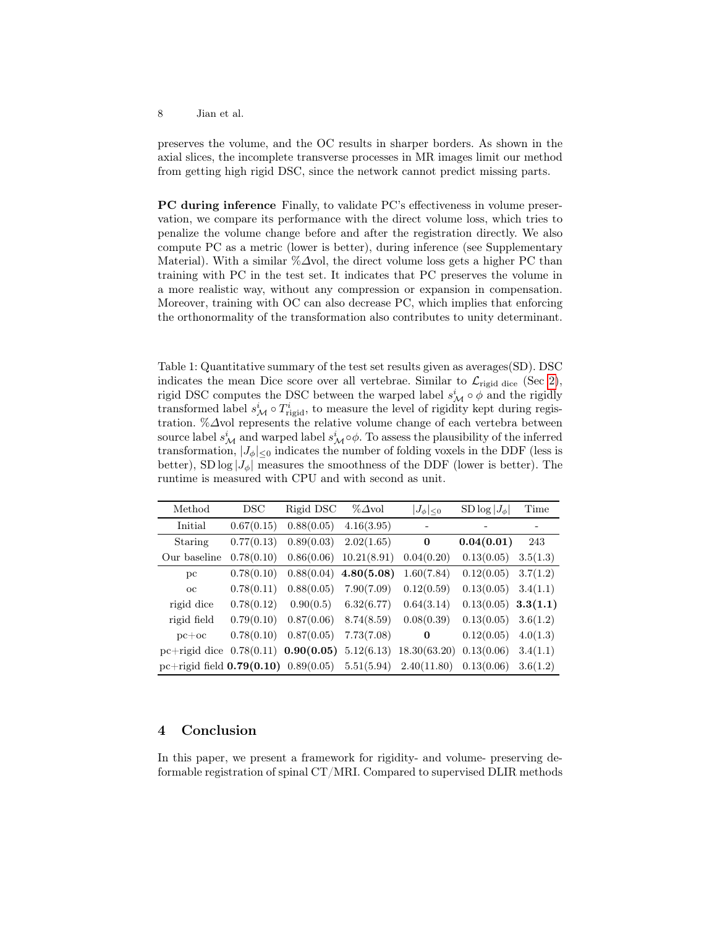preserves the volume, and the OC results in sharper borders. As shown in the axial slices, the incomplete transverse processes in MR images limit our method from getting high rigid DSC, since the network cannot predict missing parts.

PC during inference Finally, to validate PC's effectiveness in volume preservation, we compare its performance with the direct volume loss, which tries to penalize the volume change before and after the registration directly. We also compute PC as a metric (lower is better), during inference (see Supplementary Material). With a similar % $\Delta$ vol, the direct volume loss gets a higher PC than training with PC in the test set. It indicates that PC preserves the volume in a more realistic way, without any compression or expansion in compensation. Moreover, training with OC can also decrease PC, which implies that enforcing the orthonormality of the transformation also contributes to unity determinant.

<span id="page-7-0"></span>Table 1: Quantitative summary of the test set results given as averages(SD). DSC indicates the mean Dice score over all vertebrae. Similar to  $\mathcal{L}_{\text{rigid dice}}$  (Sec [2\)](#page-3-0), rigid DSC computes the DSC between the warped label  $s^i_{\mathcal{M}} \circ \phi$  and the rigidly transformed label  $s^i_{\mathcal{M}} \circ T^i_{\text{rigid}}$ , to measure the level of rigidity kept during registration. %∆vol represents the relative volume change of each vertebra between source label  $s^i_{\mathcal{M}}$  and warped label  $s^i_{\mathcal{M}} \circ \phi$ . To assess the plausibility of the inferred transformation,  $|J_{\phi}|_{\leq 0}$  indicates the number of folding voxels in the DDF (less is better), SD log  $|J_{\phi}|$  measures the smoothness of the DDF (lower is better). The runtime is measured with CPU and with second as unit.

| Method                                                                           | <b>DSC</b> | Rigid DSC                 | $\%\Delta$ vol                          | $ J_{\phi} _{\leq 0}$ | $SD \log  J_{\phi} $    | Time     |
|----------------------------------------------------------------------------------|------------|---------------------------|-----------------------------------------|-----------------------|-------------------------|----------|
| Initial                                                                          | 0.67(0.15) | 0.88(0.05)                | 4.16(3.95)                              |                       |                         |          |
| Staring                                                                          | 0.77(0.13) | 0.89(0.03)                | 2.02(1.65)                              | $\bf{0}$              | 0.04(0.01)              | 243      |
| Our baseline                                                                     | 0.78(0.10) |                           | $0.86(0.06)$ $10.21(8.91)$ $0.04(0.20)$ |                       | 0.13(0.05)              | 3.5(1.3) |
| pc                                                                               | 0.78(0.10) |                           | $0.88(0.04)$ 4.80(5.08)                 | 1.60(7.84)            | 0.12(0.05)              | 3.7(1.2) |
| $_{\rm oc}$                                                                      | 0.78(0.11) | 0.88(0.05)                | 7.90(7.09)                              | 0.12(0.59)            | $0.13(0.05)$ $3.4(1.1)$ |          |
| rigid dice                                                                       | 0.78(0.12) |                           | $0.90(0.5)$ 6.32(6.77)                  | 0.64(3.14)            | $0.13(0.05)$ 3.3(1.1)   |          |
| rigid field                                                                      | 0.79(0.10) |                           | $0.87(0.06)$ 8.74(8.59)                 | 0.08(0.39)            | $0.13(0.05)$ $3.6(1.2)$ |          |
| $pc+oc$                                                                          |            | $0.78(0.10)$ $0.87(0.05)$ | 7.73(7.08)                              | $\bf{0}$              | 0.12(0.05)              | 4.0(1.3) |
| pc+rigid dice $0.78(0.11)$ $0.90(0.05)$ $5.12(6.13)$ $18.30(63.20)$              |            |                           |                                         |                       | 0.13(0.06)              | 3.4(1.1) |
| pc+rigid field $0.79(0.10)$ $0.89(0.05)$ $5.51(5.94)$ $2.40(11.80)$ $0.13(0.06)$ |            |                           |                                         |                       |                         | 3.6(1.2) |

## 4 Conclusion

In this paper, we present a framework for rigidity- and volume- preserving deformable registration of spinal CT/MRI. Compared to supervised DLIR methods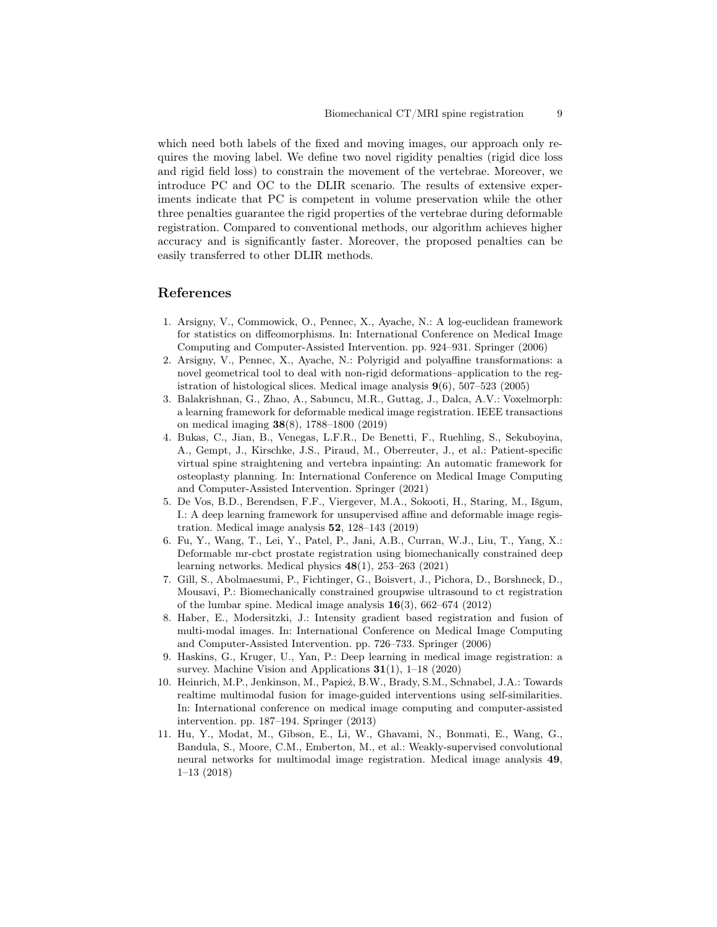which need both labels of the fixed and moving images, our approach only requires the moving label. We define two novel rigidity penalties (rigid dice loss and rigid field loss) to constrain the movement of the vertebrae. Moreover, we introduce PC and OC to the DLIR scenario. The results of extensive experiments indicate that PC is competent in volume preservation while the other three penalties guarantee the rigid properties of the vertebrae during deformable registration. Compared to conventional methods, our algorithm achieves higher accuracy and is significantly faster. Moreover, the proposed penalties can be easily transferred to other DLIR methods.

### References

- <span id="page-8-8"></span>1. Arsigny, V., Commowick, O., Pennec, X., Ayache, N.: A log-euclidean framework for statistics on diffeomorphisms. In: International Conference on Medical Image Computing and Computer-Assisted Intervention. pp. 924–931. Springer (2006)
- <span id="page-8-1"></span>2. Arsigny, V., Pennec, X., Ayache, N.: Polyrigid and polyaffine transformations: a novel geometrical tool to deal with non-rigid deformations–application to the registration of histological slices. Medical image analysis  $9(6)$ , 507–523 (2005)
- <span id="page-8-4"></span>3. Balakrishnan, G., Zhao, A., Sabuncu, M.R., Guttag, J., Dalca, A.V.: Voxelmorph: a learning framework for deformable medical image registration. IEEE transactions on medical imaging 38(8), 1788–1800 (2019)
- <span id="page-8-0"></span>4. Bukas, C., Jian, B., Venegas, L.F.R., De Benetti, F., Ruehling, S., Sekuboyina, A., Gempt, J., Kirschke, J.S., Piraud, M., Oberreuter, J., et al.: Patient-specific virtual spine straightening and vertebra inpainting: An automatic framework for osteoplasty planning. In: International Conference on Medical Image Computing and Computer-Assisted Intervention. Springer (2021)
- <span id="page-8-5"></span>5. De Vos, B.D., Berendsen, F.F., Viergever, M.A., Sokooti, H., Staring, M., Išgum, I.: A deep learning framework for unsupervised affine and deformable image registration. Medical image analysis 52, 128–143 (2019)
- <span id="page-8-6"></span>6. Fu, Y., Wang, T., Lei, Y., Patel, P., Jani, A.B., Curran, W.J., Liu, T., Yang, X.: Deformable mr-cbct prostate registration using biomechanically constrained deep learning networks. Medical physics 48(1), 253–263 (2021)
- <span id="page-8-2"></span>7. Gill, S., Abolmaesumi, P., Fichtinger, G., Boisvert, J., Pichora, D., Borshneck, D., Mousavi, P.: Biomechanically constrained groupwise ultrasound to ct registration of the lumbar spine. Medical image analysis  $16(3)$ , 662–674 (2012)
- <span id="page-8-9"></span>8. Haber, E., Modersitzki, J.: Intensity gradient based registration and fusion of multi-modal images. In: International Conference on Medical Image Computing and Computer-Assisted Intervention. pp. 726–733. Springer (2006)
- <span id="page-8-3"></span>9. Haskins, G., Kruger, U., Yan, P.: Deep learning in medical image registration: a survey. Machine Vision and Applications  $31(1)$ , 1–18 (2020)
- <span id="page-8-10"></span>10. Heinrich, M.P., Jenkinson, M., Papież, B.W., Brady, S.M., Schnabel, J.A.: Towards realtime multimodal fusion for image-guided interventions using self-similarities. In: International conference on medical image computing and computer-assisted intervention. pp. 187–194. Springer (2013)
- <span id="page-8-7"></span>11. Hu, Y., Modat, M., Gibson, E., Li, W., Ghavami, N., Bonmati, E., Wang, G., Bandula, S., Moore, C.M., Emberton, M., et al.: Weakly-supervised convolutional neural networks for multimodal image registration. Medical image analysis 49, 1–13 (2018)